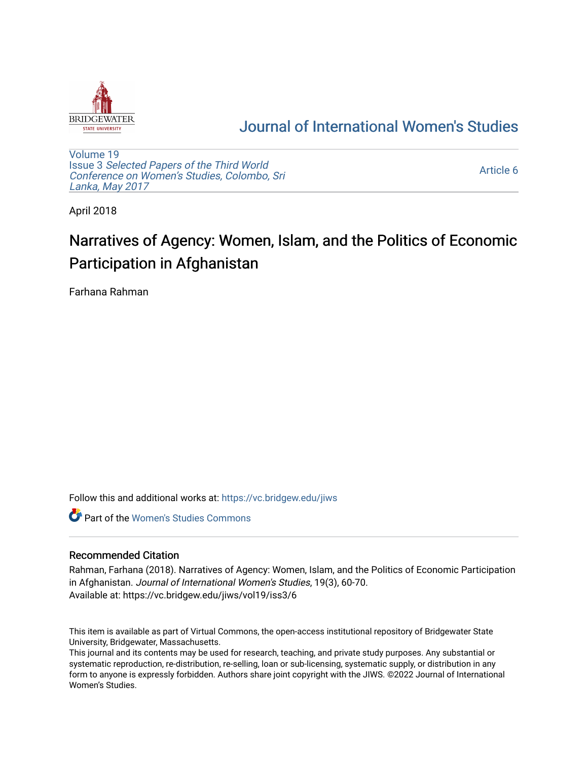

## [Journal of International Women's Studies](https://vc.bridgew.edu/jiws)

[Volume 19](https://vc.bridgew.edu/jiws/vol19) Issue 3 [Selected Papers of the Third World](https://vc.bridgew.edu/jiws/vol19/iss3) [Conference on Women's Studies, Colombo, Sri](https://vc.bridgew.edu/jiws/vol19/iss3)  [Lanka, May 2017](https://vc.bridgew.edu/jiws/vol19/iss3) 

[Article 6](https://vc.bridgew.edu/jiws/vol19/iss3/6) 

April 2018

# Narratives of Agency: Women, Islam, and the Politics of Economic Participation in Afghanistan

Farhana Rahman

Follow this and additional works at: [https://vc.bridgew.edu/jiws](https://vc.bridgew.edu/jiws?utm_source=vc.bridgew.edu%2Fjiws%2Fvol19%2Fiss3%2F6&utm_medium=PDF&utm_campaign=PDFCoverPages)

**C** Part of the Women's Studies Commons

#### Recommended Citation

Rahman, Farhana (2018). Narratives of Agency: Women, Islam, and the Politics of Economic Participation in Afghanistan. Journal of International Women's Studies, 19(3), 60-70. Available at: https://vc.bridgew.edu/jiws/vol19/iss3/6

This item is available as part of Virtual Commons, the open-access institutional repository of Bridgewater State University, Bridgewater, Massachusetts.

This journal and its contents may be used for research, teaching, and private study purposes. Any substantial or systematic reproduction, re-distribution, re-selling, loan or sub-licensing, systematic supply, or distribution in any form to anyone is expressly forbidden. Authors share joint copyright with the JIWS. ©2022 Journal of International Women's Studies.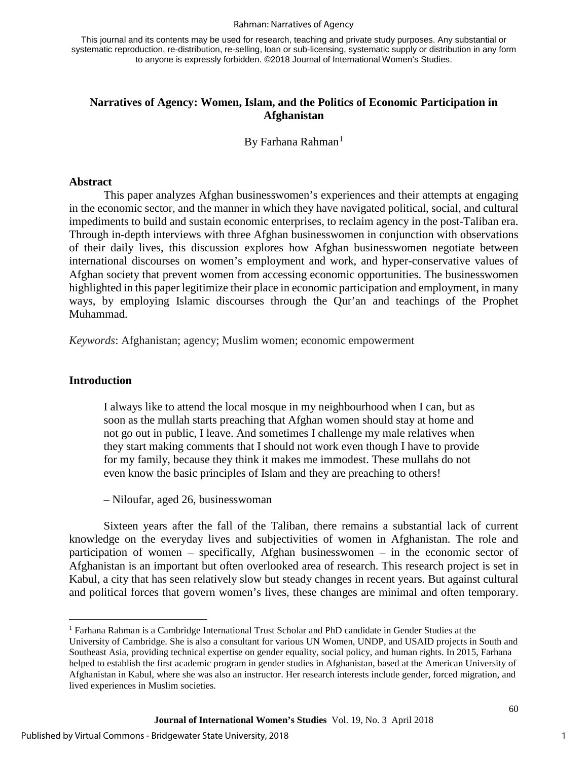#### Rahman: Narratives of Agency

This journal and its contents may be used for research, teaching and private study purposes. Any substantial or systematic reproduction, re-distribution, re-selling, loan or sub-licensing, systematic supply or distribution in any form to anyone is expressly forbidden. ©2018 Journal of International Women's Studies.

#### **Narratives of Agency: Women, Islam, and the Politics of Economic Participation in Afghanistan**

#### By Farhana Rahman<sup>[1](#page-1-0)</sup>

#### **Abstract**

This paper analyzes Afghan businesswomen's experiences and their attempts at engaging in the economic sector, and the manner in which they have navigated political, social, and cultural impediments to build and sustain economic enterprises, to reclaim agency in the post-Taliban era. Through in-depth interviews with three Afghan businesswomen in conjunction with observations of their daily lives, this discussion explores how Afghan businesswomen negotiate between international discourses on women's employment and work, and hyper-conservative values of Afghan society that prevent women from accessing economic opportunities. The businesswomen highlighted in this paper legitimize their place in economic participation and employment, in many ways, by employing Islamic discourses through the Qur'an and teachings of the Prophet Muhammad.

*Keywords*: Afghanistan; agency; Muslim women; economic empowerment

#### **Introduction**

 $\overline{1}$ 

I always like to attend the local mosque in my neighbourhood when I can, but as soon as the mullah starts preaching that Afghan women should stay at home and not go out in public, I leave. And sometimes I challenge my male relatives when they start making comments that I should not work even though I have to provide for my family, because they think it makes me immodest. These mullahs do not even know the basic principles of Islam and they are preaching to others!

– Niloufar, aged 26, businesswoman

Sixteen years after the fall of the Taliban, there remains a substantial lack of current knowledge on the everyday lives and subjectivities of women in Afghanistan. The role and participation of women – specifically, Afghan businesswomen – in the economic sector of Afghanistan is an important but often overlooked area of research. This research project is set in Kabul, a city that has seen relatively slow but steady changes in recent years. But against cultural and political forces that govern women's lives, these changes are minimal and often temporary.

lived experiences in Muslim societies.

<span id="page-1-0"></span><sup>&</sup>lt;sup>1</sup> Farhana Rahman is a Cambridge International Trust Scholar and PhD candidate in Gender Studies at the University of Cambridge. She is also a consultant for various UN Women, UNDP, and USAID projects in South and Southeast Asia, providing technical expertise on gender equality, social policy, and human rights. In 2015, Farhana helped to establish the first academic program in gender studies in Afghanistan, based at the American University of Afghanistan in Kabul, where she was also an instructor. Her research interests include gender, forced migration, and

**Journal of International Women's Studies** Vol. 19, No. 3 April 2018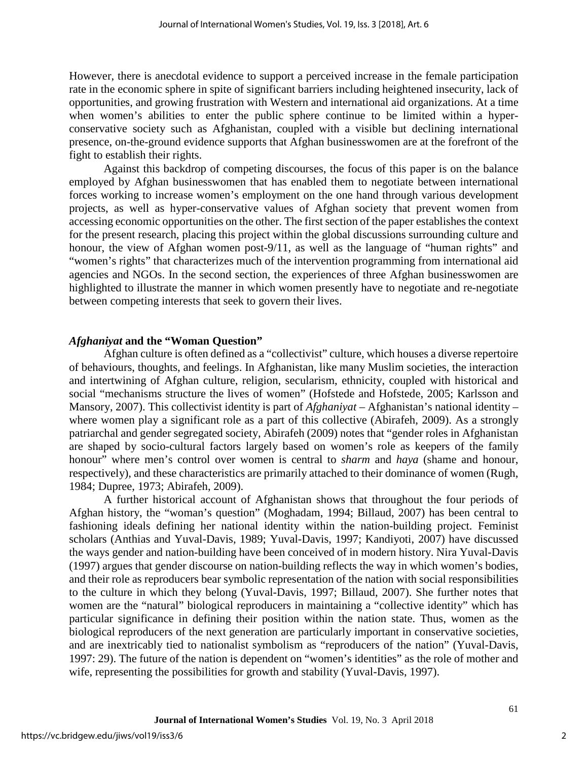However, there is anecdotal evidence to support a perceived increase in the female participation rate in the economic sphere in spite of significant barriers including heightened insecurity, lack of opportunities, and growing frustration with Western and international aid organizations. At a time when women's abilities to enter the public sphere continue to be limited within a hyperconservative society such as Afghanistan, coupled with a visible but declining international presence, on-the-ground evidence supports that Afghan businesswomen are at the forefront of the fight to establish their rights.

Against this backdrop of competing discourses, the focus of this paper is on the balance employed by Afghan businesswomen that has enabled them to negotiate between international forces working to increase women's employment on the one hand through various development projects, as well as hyper-conservative values of Afghan society that prevent women from accessing economic opportunities on the other. The first section of the paper establishes the context for the present research, placing this project within the global discussions surrounding culture and honour, the view of Afghan women post-9/11, as well as the language of "human rights" and "women's rights" that characterizes much of the intervention programming from international aid agencies and NGOs. In the second section, the experiences of three Afghan businesswomen are highlighted to illustrate the manner in which women presently have to negotiate and re-negotiate between competing interests that seek to govern their lives.

#### *Afghaniyat* **and the "Woman Question"**

Afghan culture is often defined as a "collectivist" culture, which houses a diverse repertoire of behaviours, thoughts, and feelings. In Afghanistan, like many Muslim societies, the interaction and intertwining of Afghan culture, religion, secularism, ethnicity, coupled with historical and social "mechanisms structure the lives of women" (Hofstede and Hofstede, 2005; Karlsson and Mansory, 2007). This collectivist identity is part of *Afghaniyat* – Afghanistan's national identity – where women play a significant role as a part of this collective (Abirafeh, 2009). As a strongly patriarchal and gender segregated society, Abirafeh (2009) notes that "gender roles in Afghanistan are shaped by socio-cultural factors largely based on women's role as keepers of the family honour" where men's control over women is central to *sharm* and *haya* (shame and honour, respectively), and these characteristics are primarily attached to their dominance of women (Rugh, 1984; Dupree, 1973; Abirafeh, 2009).

A further historical account of Afghanistan shows that throughout the four periods of Afghan history, the "woman's question" (Moghadam, 1994; Billaud, 2007) has been central to fashioning ideals defining her national identity within the nation-building project. Feminist scholars (Anthias and Yuval-Davis, 1989; Yuval-Davis, 1997; Kandiyoti, 2007) have discussed the ways gender and nation-building have been conceived of in modern history. Nira Yuval-Davis (1997) argues that gender discourse on nation-building reflects the way in which women's bodies, and their role as reproducers bear symbolic representation of the nation with social responsibilities to the culture in which they belong (Yuval-Davis, 1997; Billaud, 2007). She further notes that women are the "natural" biological reproducers in maintaining a "collective identity" which has particular significance in defining their position within the nation state. Thus, women as the biological reproducers of the next generation are particularly important in conservative societies, and are inextricably tied to nationalist symbolism as "reproducers of the nation" (Yuval-Davis, 1997: 29). The future of the nation is dependent on "women's identities" as the role of mother and wife, representing the possibilities for growth and stability (Yuval-Davis, 1997).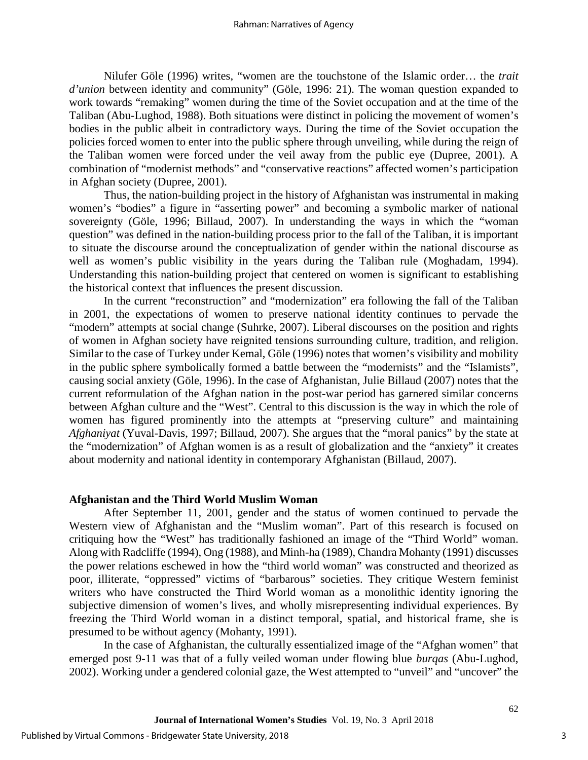Nilufer Göle (1996) writes, "women are the touchstone of the Islamic order… the *trait d'union* between identity and community" (Göle, 1996: 21). The woman question expanded to work towards "remaking" women during the time of the Soviet occupation and at the time of the Taliban (Abu-Lughod, 1988). Both situations were distinct in policing the movement of women's bodies in the public albeit in contradictory ways. During the time of the Soviet occupation the policies forced women to enter into the public sphere through unveiling, while during the reign of the Taliban women were forced under the veil away from the public eye (Dupree, 2001). A combination of "modernist methods" and "conservative reactions" affected women's participation in Afghan society (Dupree, 2001).

Thus, the nation-building project in the history of Afghanistan was instrumental in making women's "bodies" a figure in "asserting power" and becoming a symbolic marker of national sovereignty (Göle, 1996; Billaud, 2007). In understanding the ways in which the "woman question" was defined in the nation-building process prior to the fall of the Taliban, it is important to situate the discourse around the conceptualization of gender within the national discourse as well as women's public visibility in the years during the Taliban rule (Moghadam, 1994). Understanding this nation-building project that centered on women is significant to establishing the historical context that influences the present discussion.

In the current "reconstruction" and "modernization" era following the fall of the Taliban in 2001, the expectations of women to preserve national identity continues to pervade the "modern" attempts at social change (Suhrke, 2007). Liberal discourses on the position and rights of women in Afghan society have reignited tensions surrounding culture, tradition, and religion. Similar to the case of Turkey under Kemal, Göle (1996) notes that women's visibility and mobility in the public sphere symbolically formed a battle between the "modernists" and the "Islamists", causing social anxiety (Göle, 1996). In the case of Afghanistan, Julie Billaud (2007) notes that the current reformulation of the Afghan nation in the post-war period has garnered similar concerns between Afghan culture and the "West". Central to this discussion is the way in which the role of women has figured prominently into the attempts at "preserving culture" and maintaining *Afghaniyat* (Yuval-Davis, 1997; Billaud, 2007). She argues that the "moral panics" by the state at the "modernization" of Afghan women is as a result of globalization and the "anxiety" it creates about modernity and national identity in contemporary Afghanistan (Billaud, 2007).

#### **Afghanistan and the Third World Muslim Woman**

After September 11, 2001, gender and the status of women continued to pervade the Western view of Afghanistan and the "Muslim woman". Part of this research is focused on critiquing how the "West" has traditionally fashioned an image of the "Third World" woman. Along with Radcliffe (1994), Ong (1988), and Minh-ha (1989), Chandra Mohanty (1991) discusses the power relations eschewed in how the "third world woman" was constructed and theorized as poor, illiterate, "oppressed" victims of "barbarous" societies. They critique Western feminist writers who have constructed the Third World woman as a monolithic identity ignoring the subjective dimension of women's lives, and wholly misrepresenting individual experiences. By freezing the Third World woman in a distinct temporal, spatial, and historical frame, she is presumed to be without agency (Mohanty, 1991).

In the case of Afghanistan, the culturally essentialized image of the "Afghan women" that emerged post 9-11 was that of a fully veiled woman under flowing blue *burqas* (Abu-Lughod, 2002). Working under a gendered colonial gaze, the West attempted to "unveil" and "uncover" the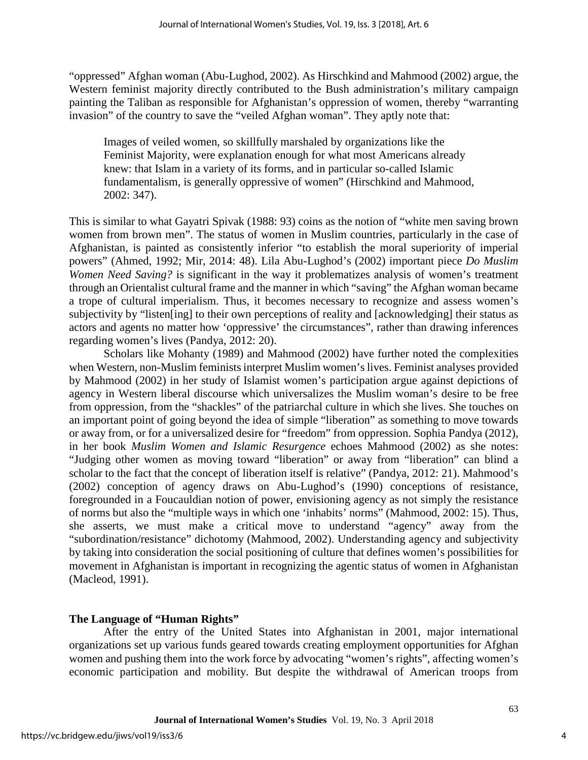"oppressed" Afghan woman (Abu-Lughod, 2002). As Hirschkind and Mahmood (2002) argue, the Western feminist majority directly contributed to the Bush administration's military campaign painting the Taliban as responsible for Afghanistan's oppression of women, thereby "warranting invasion" of the country to save the "veiled Afghan woman". They aptly note that:

Images of veiled women, so skillfully marshaled by organizations like the Feminist Majority, were explanation enough for what most Americans already knew: that Islam in a variety of its forms, and in particular so-called Islamic fundamentalism, is generally oppressive of women" (Hirschkind and Mahmood, 2002: 347).

This is similar to what Gayatri Spivak (1988: 93) coins as the notion of "white men saving brown women from brown men". The status of women in Muslim countries, particularly in the case of Afghanistan, is painted as consistently inferior "to establish the moral superiority of imperial powers" (Ahmed, 1992; Mir, 2014: 48). Lila Abu-Lughod's (2002) important piece *Do Muslim Women Need Saving?* is significant in the way it problematizes analysis of women's treatment through an Orientalist cultural frame and the manner in which "saving" the Afghan woman became a trope of cultural imperialism. Thus, it becomes necessary to recognize and assess women's subjectivity by "listen[ing] to their own perceptions of reality and [acknowledging] their status as actors and agents no matter how 'oppressive' the circumstances", rather than drawing inferences regarding women's lives (Pandya, 2012: 20).

Scholars like Mohanty (1989) and Mahmood (2002) have further noted the complexities when Western, non-Muslim feminists interpret Muslim women's lives. Feminist analyses provided by Mahmood (2002) in her study of Islamist women's participation argue against depictions of agency in Western liberal discourse which universalizes the Muslim woman's desire to be free from oppression, from the "shackles" of the patriarchal culture in which she lives. She touches on an important point of going beyond the idea of simple "liberation" as something to move towards or away from, or for a universalized desire for "freedom" from oppression. Sophia Pandya (2012), in her book *Muslim Women and Islamic Resurgence* echoes Mahmood (2002) as she notes: "Judging other women as moving toward "liberation" or away from "liberation" can blind a scholar to the fact that the concept of liberation itself is relative" (Pandya, 2012: 21). Mahmood's (2002) conception of agency draws on Abu-Lughod's (1990) conceptions of resistance, foregrounded in a Foucauldian notion of power, envisioning agency as not simply the resistance of norms but also the "multiple ways in which one 'inhabits' norms" (Mahmood, 2002: 15). Thus, she asserts, we must make a critical move to understand "agency" away from the "subordination/resistance" dichotomy (Mahmood, 2002). Understanding agency and subjectivity by taking into consideration the social positioning of culture that defines women's possibilities for movement in Afghanistan is important in recognizing the agentic status of women in Afghanistan (Macleod, 1991).

### **The Language of "Human Rights"**

After the entry of the United States into Afghanistan in 2001, major international organizations set up various funds geared towards creating employment opportunities for Afghan women and pushing them into the work force by advocating "women's rights", affecting women's economic participation and mobility. But despite the withdrawal of American troops from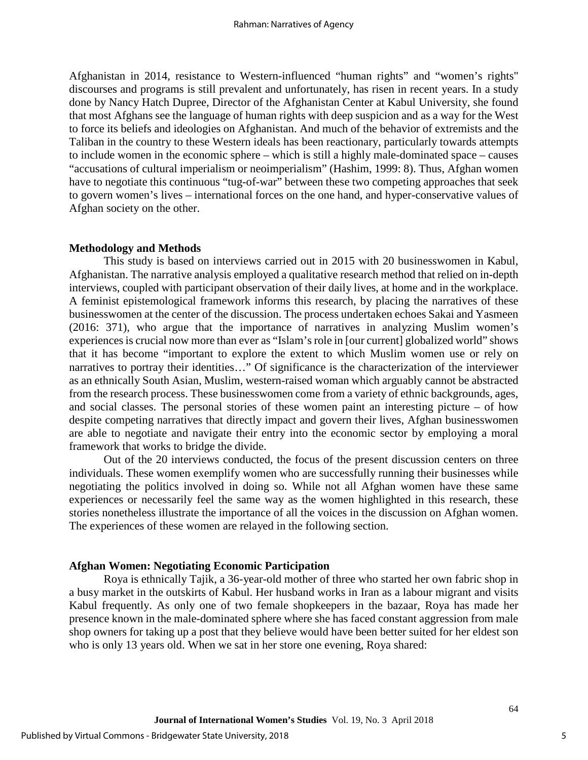Afghanistan in 2014, resistance to Western-influenced "human rights" and "women's rights" discourses and programs is still prevalent and unfortunately, has risen in recent years. In a study done by Nancy Hatch Dupree, Director of the Afghanistan Center at Kabul University, she found that most Afghans see the language of human rights with deep suspicion and as a way for the West to force its beliefs and ideologies on Afghanistan. And much of the behavior of extremists and the Taliban in the country to these Western ideals has been reactionary, particularly towards attempts to include women in the economic sphere – which is still a highly male-dominated space – causes "accusations of cultural imperialism or neoimperialism" (Hashim, 1999: 8). Thus, Afghan women have to negotiate this continuous "tug-of-war" between these two competing approaches that seek to govern women's lives – international forces on the one hand, and hyper-conservative values of Afghan society on the other.

#### **Methodology and Methods**

This study is based on interviews carried out in 2015 with 20 businesswomen in Kabul, Afghanistan. The narrative analysis employed a qualitative research method that relied on in-depth interviews, coupled with participant observation of their daily lives, at home and in the workplace. A feminist epistemological framework informs this research, by placing the narratives of these businesswomen at the center of the discussion. The process undertaken echoes Sakai and Yasmeen (2016: 371), who argue that the importance of narratives in analyzing Muslim women's experiences is crucial now more than ever as "Islam's role in [our current] globalized world" shows that it has become "important to explore the extent to which Muslim women use or rely on narratives to portray their identities..." Of significance is the characterization of the interviewer as an ethnically South Asian, Muslim, western-raised woman which arguably cannot be abstracted from the research process. These businesswomen come from a variety of ethnic backgrounds, ages, and social classes. The personal stories of these women paint an interesting picture – of how despite competing narratives that directly impact and govern their lives, Afghan businesswomen are able to negotiate and navigate their entry into the economic sector by employing a moral framework that works to bridge the divide.

Out of the 20 interviews conducted, the focus of the present discussion centers on three individuals. These women exemplify women who are successfully running their businesses while negotiating the politics involved in doing so. While not all Afghan women have these same experiences or necessarily feel the same way as the women highlighted in this research, these stories nonetheless illustrate the importance of all the voices in the discussion on Afghan women. The experiences of these women are relayed in the following section.

#### **Afghan Women: Negotiating Economic Participation**

Roya is ethnically Tajik, a 36-year-old mother of three who started her own fabric shop in a busy market in the outskirts of Kabul. Her husband works in Iran as a labour migrant and visits Kabul frequently. As only one of two female shopkeepers in the bazaar, Roya has made her presence known in the male-dominated sphere where she has faced constant aggression from male shop owners for taking up a post that they believe would have been better suited for her eldest son who is only 13 years old. When we sat in her store one evening, Roya shared: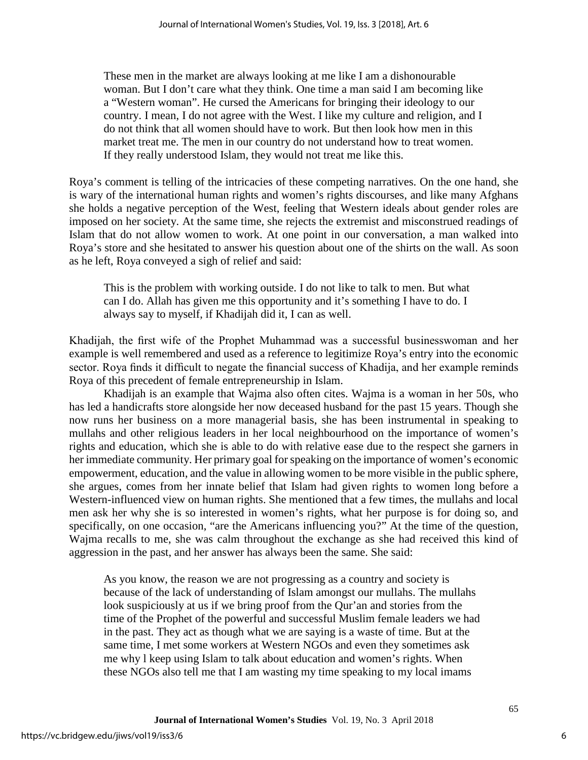These men in the market are always looking at me like I am a dishonourable woman. But I don't care what they think. One time a man said I am becoming like a "Western woman". He cursed the Americans for bringing their ideology to our country. I mean, I do not agree with the West. I like my culture and religion, and I do not think that all women should have to work. But then look how men in this market treat me. The men in our country do not understand how to treat women. If they really understood Islam, they would not treat me like this.

Roya's comment is telling of the intricacies of these competing narratives. On the one hand, she is wary of the international human rights and women's rights discourses, and like many Afghans she holds a negative perception of the West, feeling that Western ideals about gender roles are imposed on her society. At the same time, she rejects the extremist and misconstrued readings of Islam that do not allow women to work. At one point in our conversation, a man walked into Roya's store and she hesitated to answer his question about one of the shirts on the wall. As soon as he left, Roya conveyed a sigh of relief and said:

This is the problem with working outside. I do not like to talk to men. But what can I do. Allah has given me this opportunity and it's something I have to do. I always say to myself, if Khadijah did it, I can as well.

Khadijah, the first wife of the Prophet Muhammad was a successful businesswoman and her example is well remembered and used as a reference to legitimize Roya's entry into the economic sector. Roya finds it difficult to negate the financial success of Khadija, and her example reminds Roya of this precedent of female entrepreneurship in Islam.

Khadijah is an example that Wajma also often cites. Wajma is a woman in her 50s, who has led a handicrafts store alongside her now deceased husband for the past 15 years. Though she now runs her business on a more managerial basis, she has been instrumental in speaking to mullahs and other religious leaders in her local neighbourhood on the importance of women's rights and education, which she is able to do with relative ease due to the respect she garners in her immediate community. Her primary goal for speaking on the importance of women's economic empowerment, education, and the value in allowing women to be more visible in the public sphere, she argues, comes from her innate belief that Islam had given rights to women long before a Western-influenced view on human rights. She mentioned that a few times, the mullahs and local men ask her why she is so interested in women's rights, what her purpose is for doing so, and specifically, on one occasion, "are the Americans influencing you?" At the time of the question, Wajma recalls to me, she was calm throughout the exchange as she had received this kind of aggression in the past, and her answer has always been the same. She said:

As you know, the reason we are not progressing as a country and society is because of the lack of understanding of Islam amongst our mullahs. The mullahs look suspiciously at us if we bring proof from the Qur'an and stories from the time of the Prophet of the powerful and successful Muslim female leaders we had in the past. They act as though what we are saying is a waste of time. But at the same time, I met some workers at Western NGOs and even they sometimes ask me why l keep using Islam to talk about education and women's rights. When these NGOs also tell me that I am wasting my time speaking to my local imams

6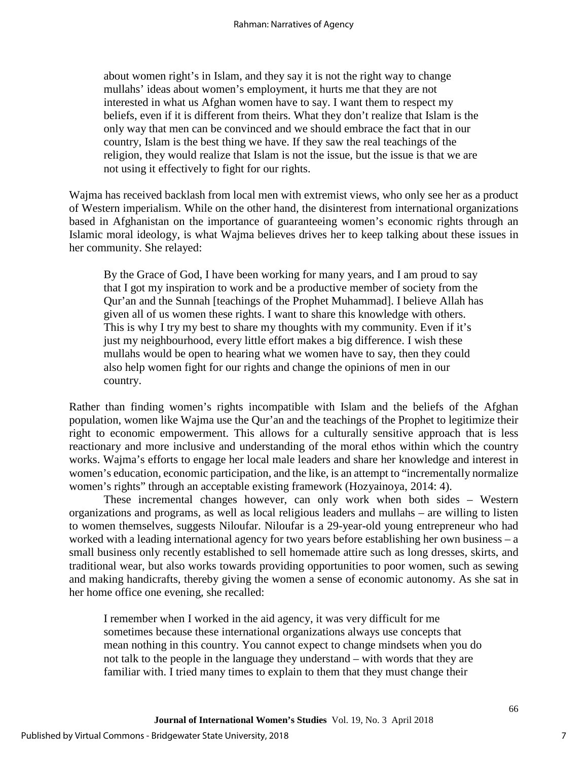about women right's in Islam, and they say it is not the right way to change mullahs' ideas about women's employment, it hurts me that they are not interested in what us Afghan women have to say. I want them to respect my beliefs, even if it is different from theirs. What they don't realize that Islam is the only way that men can be convinced and we should embrace the fact that in our country, Islam is the best thing we have. If they saw the real teachings of the religion, they would realize that Islam is not the issue, but the issue is that we are not using it effectively to fight for our rights.

Wajma has received backlash from local men with extremist views, who only see her as a product of Western imperialism. While on the other hand, the disinterest from international organizations based in Afghanistan on the importance of guaranteeing women's economic rights through an Islamic moral ideology, is what Wajma believes drives her to keep talking about these issues in her community. She relayed:

By the Grace of God, I have been working for many years, and I am proud to say that I got my inspiration to work and be a productive member of society from the Qur'an and the Sunnah [teachings of the Prophet Muhammad]. I believe Allah has given all of us women these rights. I want to share this knowledge with others. This is why I try my best to share my thoughts with my community. Even if it's just my neighbourhood, every little effort makes a big difference. I wish these mullahs would be open to hearing what we women have to say, then they could also help women fight for our rights and change the opinions of men in our country.

Rather than finding women's rights incompatible with Islam and the beliefs of the Afghan population, women like Wajma use the Qur'an and the teachings of the Prophet to legitimize their right to economic empowerment. This allows for a culturally sensitive approach that is less reactionary and more inclusive and understanding of the moral ethos within which the country works. Wajma's efforts to engage her local male leaders and share her knowledge and interest in women's education, economic participation, and the like, is an attempt to "incrementally normalize women's rights" through an acceptable existing framework (Hozyainoya, 2014: 4).

These incremental changes however, can only work when both sides – Western organizations and programs, as well as local religious leaders and mullahs – are willing to listen to women themselves, suggests Niloufar. Niloufar is a 29-year-old young entrepreneur who had worked with a leading international agency for two years before establishing her own business – a small business only recently established to sell homemade attire such as long dresses, skirts, and traditional wear, but also works towards providing opportunities to poor women, such as sewing and making handicrafts, thereby giving the women a sense of economic autonomy. As she sat in her home office one evening, she recalled:

I remember when I worked in the aid agency, it was very difficult for me sometimes because these international organizations always use concepts that mean nothing in this country. You cannot expect to change mindsets when you do not talk to the people in the language they understand – with words that they are familiar with. I tried many times to explain to them that they must change their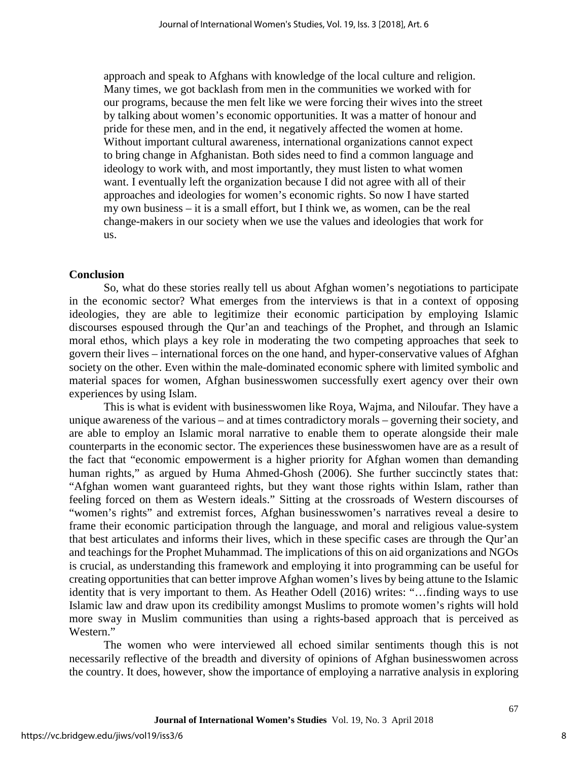approach and speak to Afghans with knowledge of the local culture and religion. Many times, we got backlash from men in the communities we worked with for our programs, because the men felt like we were forcing their wives into the street by talking about women's economic opportunities. It was a matter of honour and pride for these men, and in the end, it negatively affected the women at home. Without important cultural awareness, international organizations cannot expect to bring change in Afghanistan. Both sides need to find a common language and ideology to work with, and most importantly, they must listen to what women want. I eventually left the organization because I did not agree with all of their approaches and ideologies for women's economic rights. So now I have started my own business – it is a small effort, but I think we, as women, can be the real change-makers in our society when we use the values and ideologies that work for us.

#### **Conclusion**

So, what do these stories really tell us about Afghan women's negotiations to participate in the economic sector? What emerges from the interviews is that in a context of opposing ideologies, they are able to legitimize their economic participation by employing Islamic discourses espoused through the Qur'an and teachings of the Prophet, and through an Islamic moral ethos, which plays a key role in moderating the two competing approaches that seek to govern their lives – international forces on the one hand, and hyper-conservative values of Afghan society on the other. Even within the male-dominated economic sphere with limited symbolic and material spaces for women, Afghan businesswomen successfully exert agency over their own experiences by using Islam.

This is what is evident with businesswomen like Roya, Wajma, and Niloufar. They have a unique awareness of the various – and at times contradictory morals – governing their society, and are able to employ an Islamic moral narrative to enable them to operate alongside their male counterparts in the economic sector. The experiences these businesswomen have are as a result of the fact that "economic empowerment is a higher priority for Afghan women than demanding human rights," as argued by Huma Ahmed-Ghosh (2006). She further succinctly states that: "Afghan women want guaranteed rights, but they want those rights within Islam, rather than feeling forced on them as Western ideals." Sitting at the crossroads of Western discourses of "women's rights" and extremist forces, Afghan businesswomen's narratives reveal a desire to frame their economic participation through the language, and moral and religious value-system that best articulates and informs their lives, which in these specific cases are through the Qur'an and teachings for the Prophet Muhammad. The implications of this on aid organizations and NGOs is crucial, as understanding this framework and employing it into programming can be useful for creating opportunities that can better improve Afghan women's lives by being attune to the Islamic identity that is very important to them. As Heather Odell (2016) writes: "…finding ways to use Islamic law and draw upon its credibility amongst Muslims to promote women's rights will hold more sway in Muslim communities than using a rights-based approach that is perceived as Western."

The women who were interviewed all echoed similar sentiments though this is not necessarily reflective of the breadth and diversity of opinions of Afghan businesswomen across the country. It does, however, show the importance of employing a narrative analysis in exploring

8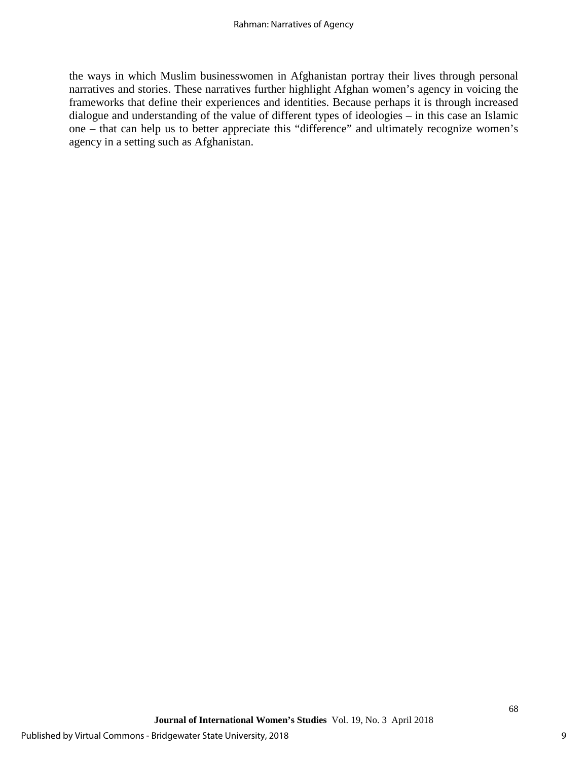the ways in which Muslim businesswomen in Afghanistan portray their lives through personal narratives and stories. These narratives further highlight Afghan women's agency in voicing the frameworks that define their experiences and identities. Because perhaps it is through increased dialogue and understanding of the value of different types of ideologies – in this case an Islamic one – that can help us to better appreciate this "difference" and ultimately recognize women's agency in a setting such as Afghanistan.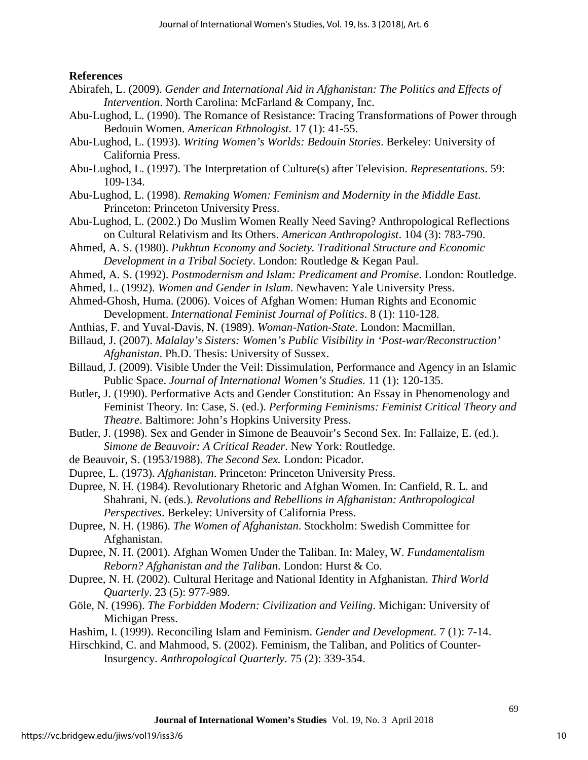#### **References**

- Abirafeh, L. (2009). *Gender and International Aid in Afghanistan: The Politics and Effects of Intervention*. North Carolina: McFarland & Company, Inc.
- Abu-Lughod, L. (1990). The Romance of Resistance: Tracing Transformations of Power through Bedouin Women. *American Ethnologist*. 17 (1): 41-55.
- Abu-Lughod, L. (1993). *Writing Women's Worlds: Bedouin Stories*. Berkeley: University of California Press.
- Abu-Lughod, L. (1997). The Interpretation of Culture(s) after Television. *Representations*. 59: 109-134.
- Abu-Lughod, L. (1998). *Remaking Women: Feminism and Modernity in the Middle East*. Princeton: Princeton University Press.
- Abu-Lughod, L. (2002.) Do Muslim Women Really Need Saving? Anthropological Reflections on Cultural Relativism and Its Others. *American Anthropologist*. 104 (3): 783-790.
- Ahmed, A. S. (1980). *Pukhtun Economy and Society. Traditional Structure and Economic Development in a Tribal Society*. London: Routledge & Kegan Paul.
- Ahmed, A. S. (1992). *Postmodernism and Islam: Predicament and Promise*. London: Routledge.
- Ahmed, L. (1992). *Women and Gender in Islam*. Newhaven: Yale University Press.
- Ahmed-Ghosh, Huma. (2006). Voices of Afghan Women: Human Rights and Economic Development. *International Feminist Journal of Politics*. 8 (1): 110-128.
- Anthias, F. and Yuval-Davis, N. (1989). *Woman-Nation-State*. London: Macmillan.
- Billaud, J. (2007). *Malalay's Sisters: Women's Public Visibility in 'Post-war/Reconstruction' Afghanistan*. Ph.D. Thesis: University of Sussex.
- Billaud, J. (2009). Visible Under the Veil: Dissimulation, Performance and Agency in an Islamic Public Space. *Journal of International Women's Studies*. 11 (1): 120-135.
- Butler, J. (1990). Performative Acts and Gender Constitution: An Essay in Phenomenology and Feminist Theory. In: Case, S. (ed.). *Performing Feminisms: Feminist Critical Theory and Theatre*. Baltimore: John's Hopkins University Press.
- Butler, J. (1998). Sex and Gender in Simone de Beauvoir's Second Sex. In: Fallaize, E. (ed.). *Simone de Beauvoir: A Critical Reader*. New York: Routledge.
- de Beauvoir, S. (1953/1988). *The Second Sex.* London: Picador.
- Dupree, L. (1973). *Afghanistan*. Princeton: Princeton University Press.
- Dupree, N. H. (1984). Revolutionary Rhetoric and Afghan Women. In: Canfield, R. L. and Shahrani, N. (eds.). *Revolutions and Rebellions in Afghanistan: Anthropological Perspectives*. Berkeley: University of California Press.
- Dupree, N. H. (1986). *The Women of Afghanistan*. Stockholm: Swedish Committee for Afghanistan.
- Dupree, N. H. (2001). Afghan Women Under the Taliban. In: Maley, W. *Fundamentalism Reborn? Afghanistan and the Taliban*. London: Hurst & Co.
- Dupree, N. H. (2002). Cultural Heritage and National Identity in Afghanistan. *Third World Quarterly*. 23 (5): 977-989.
- Göle, N. (1996). *The Forbidden Modern: Civilization and Veiling*. Michigan: University of Michigan Press.
- Hashim, I. (1999). Reconciling Islam and Feminism. *Gender and Development*. 7 (1): 7-14.
- Hirschkind, C. and Mahmood, S. (2002). Feminism, the Taliban, and Politics of Counter-Insurgency. *Anthropological Quarterly*. 75 (2): 339-354.